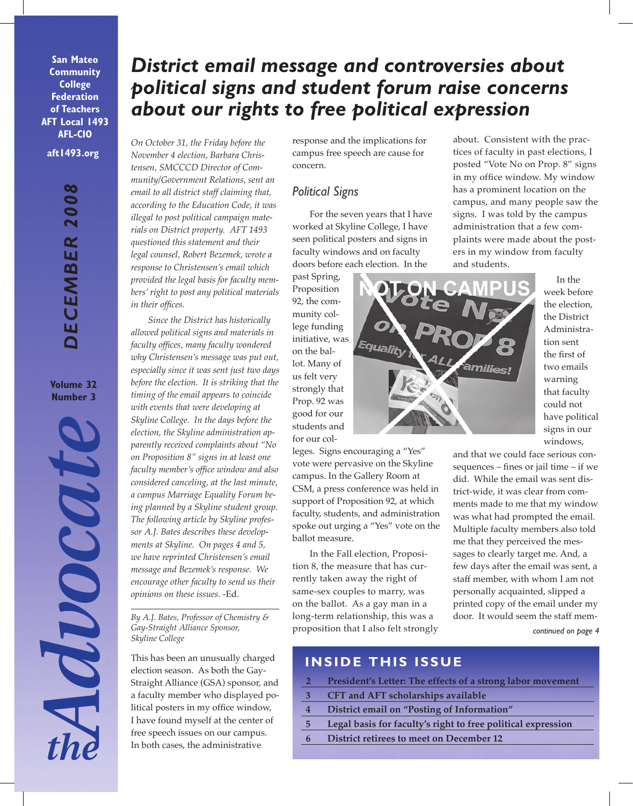**San Mateo Community College Federation of Teachers AFT Local 1493 AFL-CIO**

**aft1493.org**

**Volume 32 Number 3**



# *District email message and controversies about political signs and student forum raise concerns about our rights to free political expression*

*On October 31, the Friday before the November 4 election, Barbara Christensen, SMCCCD Director of Community/Government Relations, sent an email to all district staff claiming that, according to the Education Code, it was illegal to post political campaign materials on District property. AFT 1493 questioned this statement and their legal counsel, Robert Bezemek, wrote a response to Christensen's email which provided the legal basis for faculty members' right to post any political materials in their offices.* 

*Since the District has historically allowed political signs and materials in faculty offices, many faculty wondered why Christensen's message was put out, especially since it was sent just two days before the election. It is striking that the timing of the email appears to coincide with events that were developing at Skyline College. In the days before the election, the Skyline administration apparently received complaints about "No on Proposition 8" signs in at least one faculty member's office window and also considered canceling, at the last minute, a campus Marriage Equality Forum being planned by a Skyline student group. The following article by Skyline professor A.J. Bates describes these developments at Skyline. On pages 4 and 5, we have reprinted Christensen's email message and Bezemek's response. We encourage other faculty to send us their opinions on these issues.* -Ed.

*Gay-Straight Alliance Sponsor, Skyline College*

This has been an unusually charged election season. As both the Gay-Straight Alliance (GSA) sponsor, and a faculty member who displayed political posters in my office window, I have found myself at the center of free speech issues on our campus. In both cases, the administrative

response and the implications for campus free speech are cause for concern.

## *Political Signs*

For the seven years that I have worked at Skyline College, I have seen political posters and signs in faculty windows and on faculty doors before each election. In the

past Spring, Proposition 92, the community college funding initiative, was on the ballot. Many of us felt very strongly that Prop. 92 was good for our students and for our col-

leges. Signs encouraging a "Yes" vote were pervasive on the Skyline campus. In the Gallery Room at CSM, a press conference was held in support of Proposition 92, at which faculty, students, and administration spoke out urging a "Yes" vote on the ballot measure.

In the Fall election, Proposition 8, the measure that has currently taken away the right of same-sex couples to marry, was on the ballot. As a gay man in a long-term relationship, this was a proposition that I also felt strongly about. Consistent with the practices of faculty in past elections, I posted "Vote No on Prop. 8" signs in my office window. My window has a prominent location on the campus, and many people saw the signs. I was told by the campus administration that a few complaints were made about the posters in my window from faculty and students.



In the week before the election, the District Administration sent the first of two emails warning that faculty could not have political signs in our windows,

*continued on page 4* and that we could face serious consequences – fines or jail time – if we did. While the email was sent district-wide, it was clear from comments made to me that my window was what had prompted the email. Multiple faculty members also told me that they perceived the messages to clearly target me. And, a few days after the email was sent, a staff member, with whom I am not personally acquainted, slipped a printed copy of the email under my *By A.J. Bates, Professor of Chemistry &* long-term relationship, this was a door. It would seem the staff mem-

## **INSIDE THIS ISSUE**

- **2 President's Letter: The effects of a strong labor movement**
- **3 CFT and AFT scholarships available**
- **4 District email on "Posting of Information"**
- **5 Legal basis for faculty's right to free political expression**
- **6 District retirees to meet on December 12**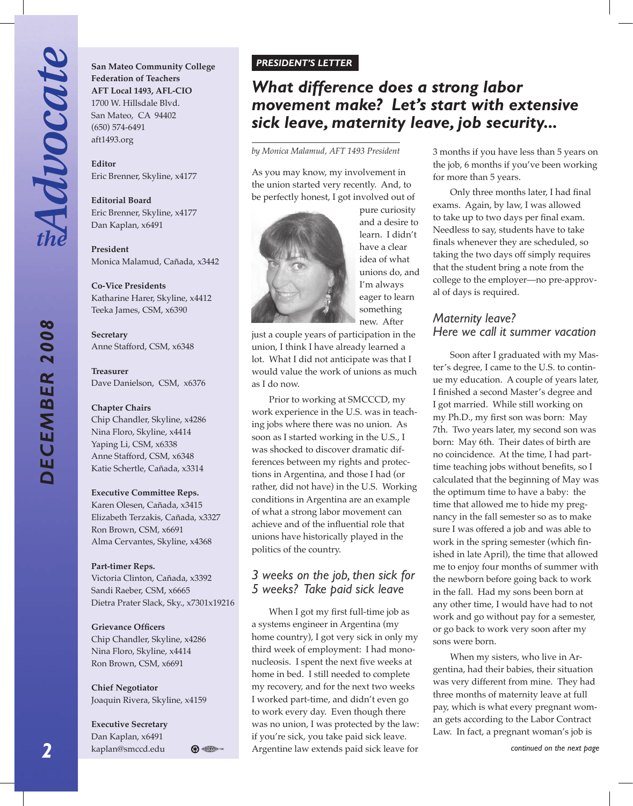*DECEMBER 2008*

DECEMBER 2008

**San Mateo Community College Federation of Teachers AFT Local 1493, AFL-CIO** 1700 W. Hillsdale Blvd. San Mateo, CA 94402 (650) 574-6491 aft1493.org

**Editor** Eric Brenner, Skyline, x4177

**Editorial Board** Eric Brenner, Skyline, x4177 Dan Kaplan, x6491

**President** Monica Malamud, Cañada, x3442

**Co-Vice Presidents** Katharine Harer, Skyline, x4412 Teeka James, CSM, x6390

**Secretary** Anne Stafford, CSM, x6348

**Treasurer** Dave Danielson, CSM, x6376

#### **Chapter Chairs**

Chip Chandler, Skyline, x4286 Nina Floro, Skyline, x4414 Yaping Li, CSM, x6338 Anne Stafford, CSM, x6348 Katie Schertle, Cañada, x3314

#### **Executive Committee Reps.**

Karen Olesen, Cañada, x3415 Elizabeth Terzakis, Cañada, x3327 Ron Brown, CSM, x6691 Alma Cervantes, Skyline, x4368

#### **Part-timer Reps.**

Victoria Clinton, Cañada, x3392 Sandi Raeber, CSM, x6665 Dietra Prater Slack, Sky., x7301x19216

#### **Grievance Officers**

Chip Chandler, Skyline, x4286 Nina Floro, Skyline, x4414 Ron Brown, CSM, x6691

**Chief Negotiator** Joaquin Rivera, Skyline, x4159

#### **Executive Secretary** Dan Kaplan, x6491



## *What difference does a strong labor movement make? Let's start with extensive sick leave, maternity leave, job security...*

*by Monica Malamud, AFT 1493 President*

As you may know, my involvement in the union started very recently. And, to be perfectly honest, I got involved out of



pure curiosity and a desire to learn. I didn't have a clear idea of what unions do, and I'm always eager to learn something new. After

just a couple years of participation in the union, I think I have already learned a lot. What I did not anticipate was that I would value the work of unions as much as I do now.

Prior to working at SMCCCD, my work experience in the U.S. was in teaching jobs where there was no union. As soon as I started working in the U.S., I was shocked to discover dramatic differences between my rights and protections in Argentina, and those I had (or rather, did not have) in the U.S. Working conditions in Argentina are an example of what a strong labor movement can achieve and of the influential role that unions have historically played in the politics of the country.

## *3 weeks on the job, then sick for 5 weeks? Take paid sick leave*

kaplan@smccd.edu  $\bigoplus_{n=1}^\infty$   $\bigoplus_{n=1}^\infty$  Argentine law extends paid sick leave for **the continued on the next page** When I got my first full-time job as a systems engineer in Argentina (my home country), I got very sick in only my third week of employment: I had mononucleosis. I spent the next five weeks at home in bed. I still needed to complete my recovery, and for the next two weeks I worked part-time, and didn't even go to work every day. Even though there was no union, I was protected by the law: if you're sick, you take paid sick leave.

3 months if you have less than 5 years on the job, 6 months if you've been working for more than 5 years.

Only three months later, I had final exams. Again, by law, I was allowed to take up to two days per final exam. Needless to say, students have to take finals whenever they are scheduled, so taking the two days off simply requires that the student bring a note from the college to the employer—no pre-approval of days is required.

## *Maternity leave? Here we call it summer vacation*

Soon after I graduated with my Master's degree, I came to the U.S. to continue my education. A couple of years later, I finished a second Master's degree and I got married. While still working on my Ph.D., my first son was born: May 7th. Two years later, my second son was born: May 6th. Their dates of birth are no coincidence. At the time, I had parttime teaching jobs without benefits, so I calculated that the beginning of May was the optimum time to have a baby: the time that allowed me to hide my pregnancy in the fall semester so as to make sure I was offered a job and was able to work in the spring semester (which finished in late April), the time that allowed me to enjoy four months of summer with the newborn before going back to work in the fall. Had my sons been born at any other time, I would have had to not work and go without pay for a semester, or go back to work very soon after my sons were born.

When my sisters, who live in Argentina, had their babies, their situation was very different from mine. They had three months of maternity leave at full pay, which is what every pregnant woman gets according to the Labor Contract Law. In fact, a pregnant woman's job is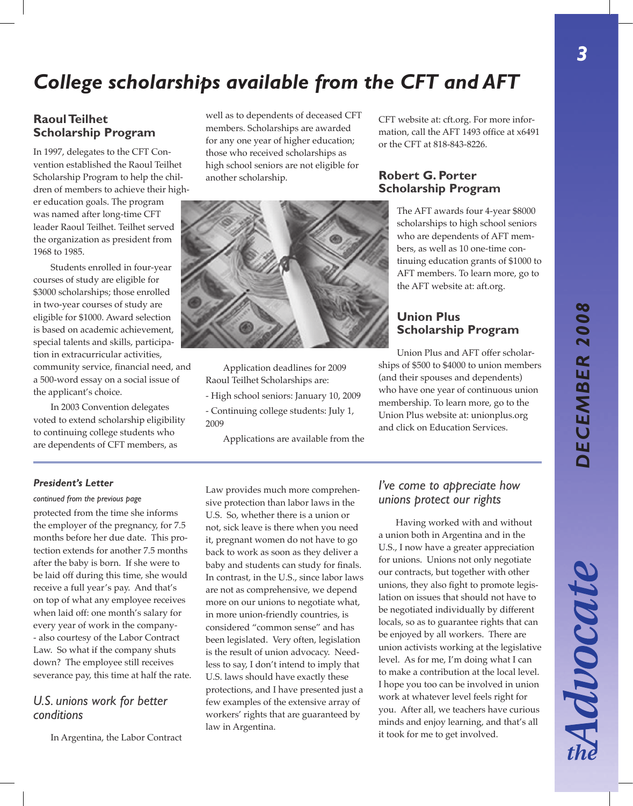Advocate

*3*

# *College scholarships available from the CFT and AFT*

### **Raoul Teilhet Scholarship Program**

In 1997, delegates to the CFT Convention established the Raoul Teilhet Scholarship Program to help the children of members to achieve their high-

er education goals. The program was named after long-time CFT leader Raoul Teilhet. Teilhet served the organization as president from 1968 to 1985.

Students enrolled in four-year courses of study are eligible for \$3000 scholarships; those enrolled in two-year courses of study are eligible for \$1000. Award selection is based on academic achievement, special talents and skills, participation in extracurricular activities, community service, financial need, and a 500-word essay on a social issue of the applicant's choice.

In 2003 Convention delegates voted to extend scholarship eligibility to continuing college students who are dependents of CFT members, as

well as to dependents of deceased CFT members. Scholarships are awarded for any one year of higher education; those who received scholarships as high school seniors are not eligible for another scholarship.

CFT website at: cft.org. For more information, call the AFT 1493 office at x6491 or the CFT at 818-843-8226.

### **Robert G. Porter Scholarship Program**

The AFT awards four 4-year \$8000 scholarships to high school seniors who are dependents of AFT members, as well as 10 one-time continuing education grants of \$1000 to AFT members. To learn more, go to the AFT website at: aft.org.

#### **Union Plus Scholarship Program**

Union Plus and AFT offer scholarships of \$500 to \$4000 to union members (and their spouses and dependents) who have one year of continuous union membership. To learn more, go to the Union Plus website at: unionplus.org and click on Education Services.

#### *President's Letter*

*continued from the previous page* protected from the time she informs the employer of the pregnancy, for 7.5 months before her due date. This protection extends for another 7.5 months after the baby is born. If she were to be laid off during this time, she would receive a full year's pay. And that's on top of what any employee receives when laid off: one month's salary for every year of work in the company- - also courtesy of the Labor Contract Law. So what if the company shuts down? The employee still receives severance pay, this time at half the rate.

### *U.S. unions work for better conditions*

In Argentina, the Labor Contract

Law provides much more comprehensive protection than labor laws in the U.S. So, whether there is a union or not, sick leave is there when you need it, pregnant women do not have to go back to work as soon as they deliver a baby and students can study for finals. In contrast, in the U.S., since labor laws are not as comprehensive, we depend more on our unions to negotiate what, in more union-friendly countries, is considered "common sense" and has been legislated. Very often, legislation is the result of union advocacy. Needless to say, I don't intend to imply that U.S. laws should have exactly these protections, and I have presented just a few examples of the extensive array of workers' rights that are guaranteed by law in Argentina.

### *I've come to appreciate how unions protect our rights*

Having worked with and without a union both in Argentina and in the U.S., I now have a greater appreciation for unions. Unions not only negotiate our contracts, but together with other unions, they also fight to promote legislation on issues that should not have to be negotiated individually by different locals, so as to guarantee rights that can be enjoyed by all workers. There are union activists working at the legislative level. As for me, I'm doing what I can to make a contribution at the local level. I hope you too can be involved in union work at whatever level feels right for you. After all, we teachers have curious minds and enjoy learning, and that's all it took for me to get involved.



Application deadlines for 2009

- High school seniors: January 10, 2009 - Continuing college students: July 1,

Applications are available from the

Raoul Teilhet Scholarships are:

2009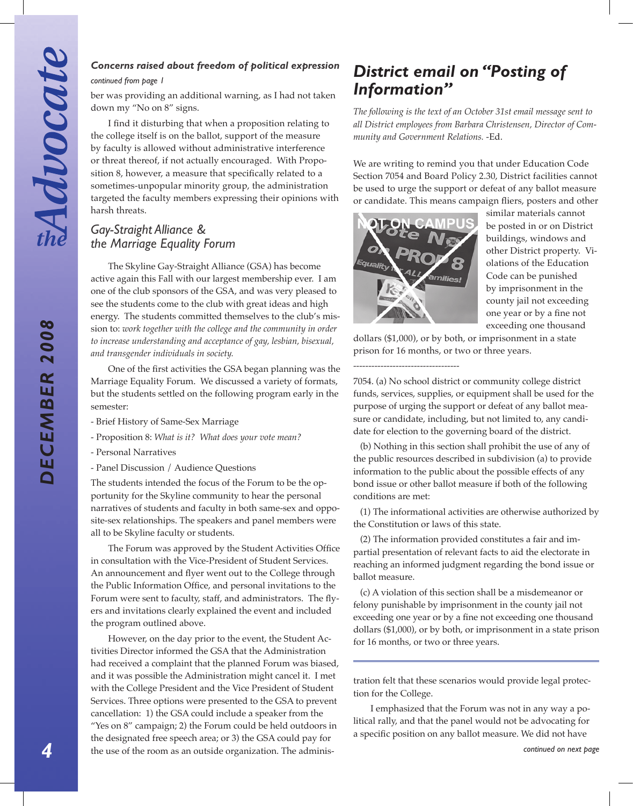*DECEMBER 2008*

DECEMBER 2008

## *Concerns raised about freedom of political expression*

*continued from page 1*

ber was providing an additional warning, as I had not taken down my "No on 8" signs.

I find it disturbing that when a proposition relating to the college itself is on the ballot, support of the measure by faculty is allowed without administrative interference or threat thereof, if not actually encouraged. With Proposition 8, however, a measure that specifically related to a sometimes-unpopular minority group, the administration targeted the faculty members expressing their opinions with harsh threats.

## *Gay-Straight Alliance & the Marriage Equality Forum*

The Skyline Gay-Straight Alliance (GSA) has become active again this Fall with our largest membership ever. I am one of the club sponsors of the GSA, and was very pleased to see the students come to the club with great ideas and high energy. The students committed themselves to the club's mission to: *work together with the college and the community in order to increase understanding and acceptance of gay, lesbian, bisexual, and transgender individuals in society.*

One of the first activities the GSA began planning was the Marriage Equality Forum. We discussed a variety of formats, but the students settled on the following program early in the semester:

- Brief History of Same-Sex Marriage
- Proposition 8: *What is it? What does your vote mean?*
- Personal Narratives
- Panel Discussion / Audience Questions

The students intended the focus of the Forum to be the opportunity for the Skyline community to hear the personal narratives of students and faculty in both same-sex and opposite-sex relationships. The speakers and panel members were all to be Skyline faculty or students.

The Forum was approved by the Student Activities Office in consultation with the Vice-President of Student Services. An announcement and flyer went out to the College through the Public Information Office, and personal invitations to the Forum were sent to faculty, staff, and administrators. The flyers and invitations clearly explained the event and included the program outlined above.

However, on the day prior to the event, the Student Activities Director informed the GSA that the Administration had received a complaint that the planned Forum was biased, and it was possible the Administration might cancel it. I met with the College President and the Vice President of Student Services. Three options were presented to the GSA to prevent cancellation: 1) the GSA could include a speaker from the "Yes on 8" campaign; 2) the Forum could be held outdoors in the designated free speech area; or 3) the GSA could pay for the use of the room as an outside organization. The adminis-

## *District email on "Posting of Information"*

*The following is the text of an October 31st email message sent to all District employees from Barbara Christensen, Director of Community and Government Relations.* -Ed.

We are writing to remind you that under Education Code Section 7054 and Board Policy 2.30, District facilities cannot be used to urge the support or defeat of any ballot measure or candidate. This means campaign fliers, posters and other



-----------------------------------

similar materials cannot be posted in or on District buildings, windows and other District property. Violations of the Education Code can be punished by imprisonment in the county jail not exceeding one year or by a fine not exceeding one thousand

dollars (\$1,000), or by both, or imprisonment in a state prison for 16 months, or two or three years.

7054. (a) No school district or community college district funds, services, supplies, or equipment shall be used for the purpose of urging the support or defeat of any ballot measure or candidate, including, but not limited to, any candidate for election to the governing board of the district.

(b) Nothing in this section shall prohibit the use of any of the public resources described in subdivision (a) to provide information to the public about the possible effects of any bond issue or other ballot measure if both of the following conditions are met:

(1) The informational activities are otherwise authorized by the Constitution or laws of this state.

(2) The information provided constitutes a fair and impartial presentation of relevant facts to aid the electorate in reaching an informed judgment regarding the bond issue or ballot measure.

(c) A violation of this section shall be a misdemeanor or felony punishable by imprisonment in the county jail not exceeding one year or by a fine not exceeding one thousand dollars (\$1,000), or by both, or imprisonment in a state prison for 16 months, or two or three years.

tration felt that these scenarios would provide legal protection for the College.

I emphasized that the Forum was not in any way a political rally, and that the panel would not be advocating for a specific position on any ballot measure. We did not have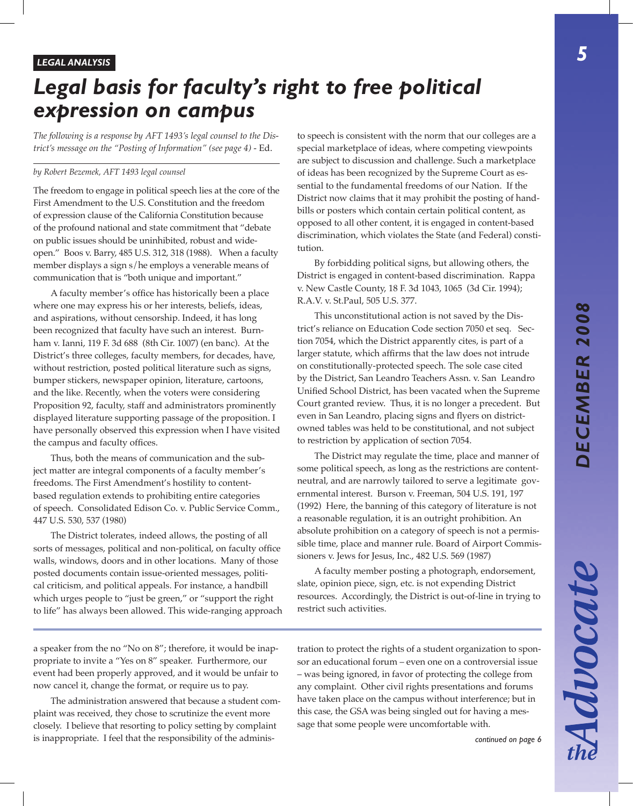Advocate

# *Legal basis for faculty's right to free political expression on campus*

*The following is a response by AFT 1493's legal counsel to the District's message on the "Posting of Information" (see page 4)* - Ed.

#### *by Robert Bezemek, AFT 1493 legal counsel*

The freedom to engage in political speech lies at the core of the First Amendment to the U.S. Constitution and the freedom of expression clause of the California Constitution because of the profound national and state commitment that "debate on public issues should be uninhibited, robust and wideopen." Boos v. Barry, 485 U.S. 312, 318 (1988). When a faculty member displays a sign s/he employs a venerable means of communication that is "both unique and important."

A faculty member's office has historically been a place where one may express his or her interests, beliefs, ideas, and aspirations, without censorship. Indeed, it has long been recognized that faculty have such an interest. Burnham v. Ianni, 119 F. 3d 688 (8th Cir. 1007) (en banc). At the District's three colleges, faculty members, for decades, have, without restriction, posted political literature such as signs, bumper stickers, newspaper opinion, literature, cartoons, and the like. Recently, when the voters were considering Proposition 92, faculty, staff and administrators prominently displayed literature supporting passage of the proposition. I have personally observed this expression when I have visited the campus and faculty offices.

Thus, both the means of communication and the subject matter are integral components of a faculty member's freedoms. The First Amendment's hostility to contentbased regulation extends to prohibiting entire categories of speech. Consolidated Edison Co. v. Public Service Comm., 447 U.S. 530, 537 (1980)

The District tolerates, indeed allows, the posting of all sorts of messages, political and non-political, on faculty office walls, windows, doors and in other locations. Many of those posted documents contain issue-oriented messages, political criticism, and political appeals. For instance, a handbill which urges people to "just be green," or "support the right to life" has always been allowed. This wide-ranging approach to speech is consistent with the norm that our colleges are a special marketplace of ideas, where competing viewpoints are subject to discussion and challenge. Such a marketplace of ideas has been recognized by the Supreme Court as essential to the fundamental freedoms of our Nation. If the District now claims that it may prohibit the posting of handbills or posters which contain certain political content, as opposed to all other content, it is engaged in content-based discrimination, which violates the State (and Federal) constitution.

By forbidding political signs, but allowing others, the District is engaged in content-based discrimination. Rappa v. New Castle County, 18 F. 3d 1043, 1065 (3d Cir. 1994); R.A.V. v. St.Paul, 505 U.S. 377.

This unconstitutional action is not saved by the District's reliance on Education Code section 7050 et seq. Section 7054, which the District apparently cites, is part of a larger statute, which affirms that the law does not intrude on constitutionally-protected speech. The sole case cited by the District, San Leandro Teachers Assn. v. San Leandro Unified School District, has been vacated when the Supreme Court granted review. Thus, it is no longer a precedent. But even in San Leandro, placing signs and flyers on districtowned tables was held to be constitutional, and not subject to restriction by application of section 7054.

The District may regulate the time, place and manner of some political speech, as long as the restrictions are contentneutral, and are narrowly tailored to serve a legitimate governmental interest. Burson v. Freeman, 504 U.S. 191, 197 (1992) Here, the banning of this category of literature is not a reasonable regulation, it is an outright prohibition. An absolute prohibition on a category of speech is not a permissible time, place and manner rule. Board of Airport Commissioners v. Jews for Jesus, Inc., 482 U.S. 569 (1987)

A faculty member posting a photograph, endorsement, slate, opinion piece, sign, etc. is not expending District resources. Accordingly, the District is out-of-line in trying to restrict such activities.

a speaker from the no "No on 8"; therefore, it would be inappropriate to invite a "Yes on 8" speaker. Furthermore, our event had been properly approved, and it would be unfair to now cancel it, change the format, or require us to pay.

The administration answered that because a student complaint was received, they chose to scrutinize the event more closely. I believe that resorting to policy setting by complaint is inappropriate. I feel that the responsibility of the administration to protect the rights of a student organization to sponsor an educational forum – even one on a controversial issue – was being ignored, in favor of protecting the college from any complaint. Other civil rights presentations and forums have taken place on the campus without interference; but in this case, the GSA was being singled out for having a message that some people were uncomfortable with.

*continued on page 6*